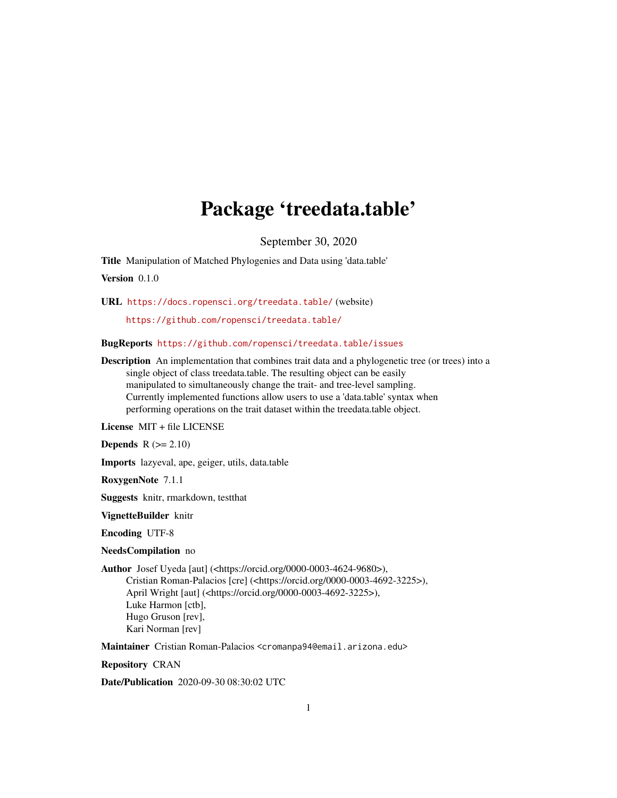## Package 'treedata.table'

September 30, 2020

<span id="page-0-0"></span>Title Manipulation of Matched Phylogenies and Data using 'data.table'

Version 0.1.0

URL <https://docs.ropensci.org/treedata.table/> (website)

<https://github.com/ropensci/treedata.table/>

BugReports <https://github.com/ropensci/treedata.table/issues>

Description An implementation that combines trait data and a phylogenetic tree (or trees) into a single object of class treedata.table. The resulting object can be easily manipulated to simultaneously change the trait- and tree-level sampling. Currently implemented functions allow users to use a 'data.table' syntax when performing operations on the trait dataset within the treedata.table object.

License MIT + file LICENSE

Depends  $R$  ( $>= 2.10$ )

Imports lazyeval, ape, geiger, utils, data.table

RoxygenNote 7.1.1

Suggests knitr, rmarkdown, testthat

VignetteBuilder knitr

Encoding UTF-8

NeedsCompilation no

Author Josef Uyeda [aut] (<https://orcid.org/0000-0003-4624-9680>), Cristian Roman-Palacios [cre] (<https://orcid.org/0000-0003-4692-3225>), April Wright [aut] (<https://orcid.org/0000-0003-4692-3225>), Luke Harmon [ctb], Hugo Gruson [rev], Kari Norman [rev]

Maintainer Cristian Roman-Palacios <cromanpa94@email.arizona.edu>

Repository CRAN

Date/Publication 2020-09-30 08:30:02 UTC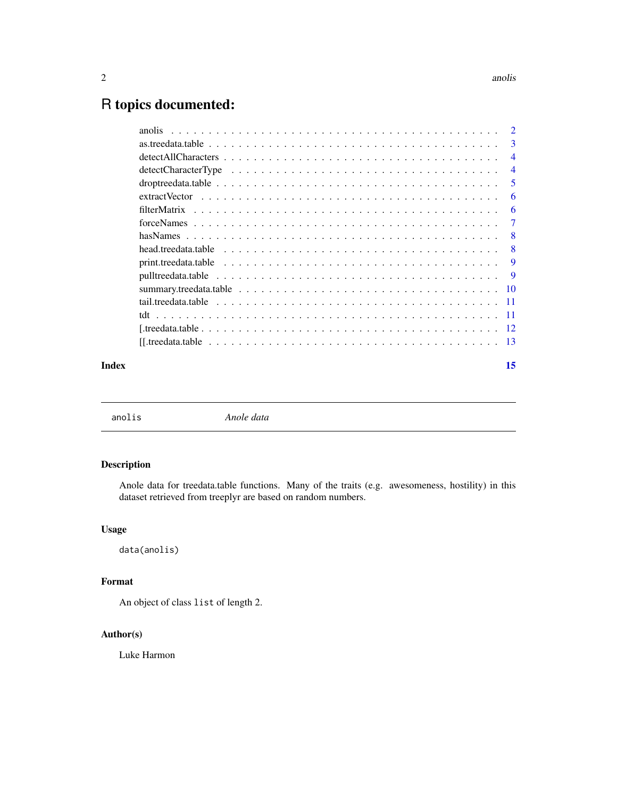## <span id="page-1-0"></span>R topics documented:

|       |                                                                                                              | $\overline{4}$ |
|-------|--------------------------------------------------------------------------------------------------------------|----------------|
|       |                                                                                                              | $\overline{4}$ |
|       |                                                                                                              | 5              |
|       |                                                                                                              | -6             |
|       |                                                                                                              | -6             |
|       | $forceNames \dots \dots \dots \dots \dots \dots \dots \dots \dots \dots \dots \dots \dots \dots \dots \dots$ | -7             |
|       |                                                                                                              |                |
|       |                                                                                                              |                |
|       |                                                                                                              |                |
|       |                                                                                                              |                |
|       |                                                                                                              |                |
|       |                                                                                                              |                |
|       |                                                                                                              |                |
|       |                                                                                                              |                |
|       |                                                                                                              |                |
| Index |                                                                                                              | 15             |

anolis *Anole data*

## Description

Anole data for treedata.table functions. Many of the traits (e.g. awesomeness, hostility) in this dataset retrieved from treeplyr are based on random numbers.

## Usage

data(anolis)

## Format

An object of class list of length 2.

## Author(s)

Luke Harmon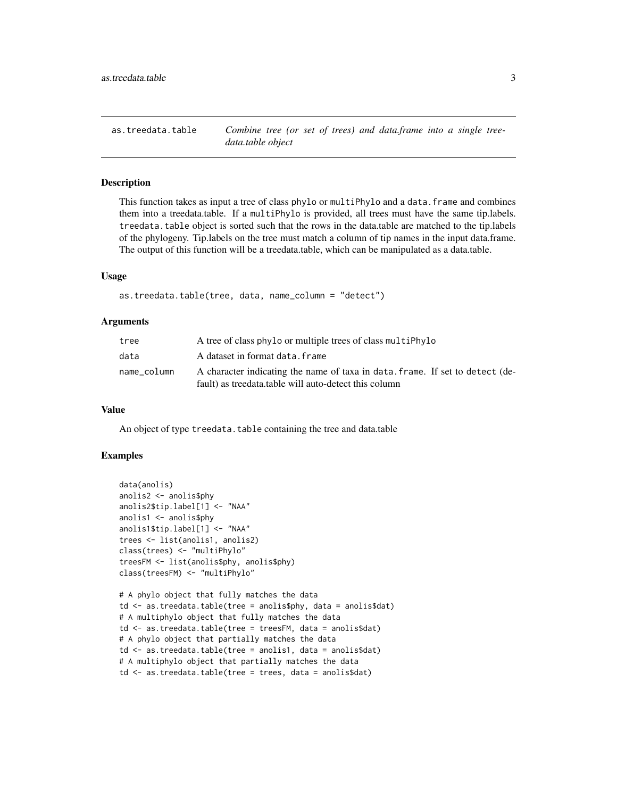<span id="page-2-0"></span>as.treedata.table *Combine tree (or set of trees) and data.frame into a single treedata.table object*

## Description

This function takes as input a tree of class phylo or multiPhylo and a data. frame and combines them into a treedata.table. If a multiPhylo is provided, all trees must have the same tip.labels. treedata.table object is sorted such that the rows in the data.table are matched to the tip.labels of the phylogeny. Tip.labels on the tree must match a column of tip names in the input data.frame. The output of this function will be a treedata.table, which can be manipulated as a data.table.

#### Usage

```
as.treedata.table(tree, data, name_column = "detect")
```
#### Arguments

| tree        | A tree of class phylo or multiple trees of class multiphylo                   |
|-------------|-------------------------------------------------------------------------------|
| data        | A dataset in format data. frame                                               |
| name_column | A character indicating the name of taxa in data, frame. If set to detect (de- |
|             | fault) as treedata.table will auto-detect this column                         |

### Value

An object of type treedata.table containing the tree and data.table

```
data(anolis)
anolis2 <- anolis$phy
anolis2$tip.label[1] <- "NAA"
anolis1 <- anolis$phy
anolis1$tip.label[1] <- "NAA"
trees <- list(anolis1, anolis2)
class(trees) <- "multiPhylo"
treesFM <- list(anolis$phy, anolis$phy)
class(treesFM) <- "multiPhylo"
# A phylo object that fully matches the data
td <- as.treedata.table(tree = anolis$phy, data = anolis$dat)
# A multiphylo object that fully matches the data
td <- as.treedata.table(tree = treesFM, data = anolis$dat)
# A phylo object that partially matches the data
td <- as.treedata.table(tree = anolis1, data = anolis$dat)
# A multiphylo object that partially matches the data
```

```
td <- as.treedata.table(tree = trees, data = anolis$dat)
```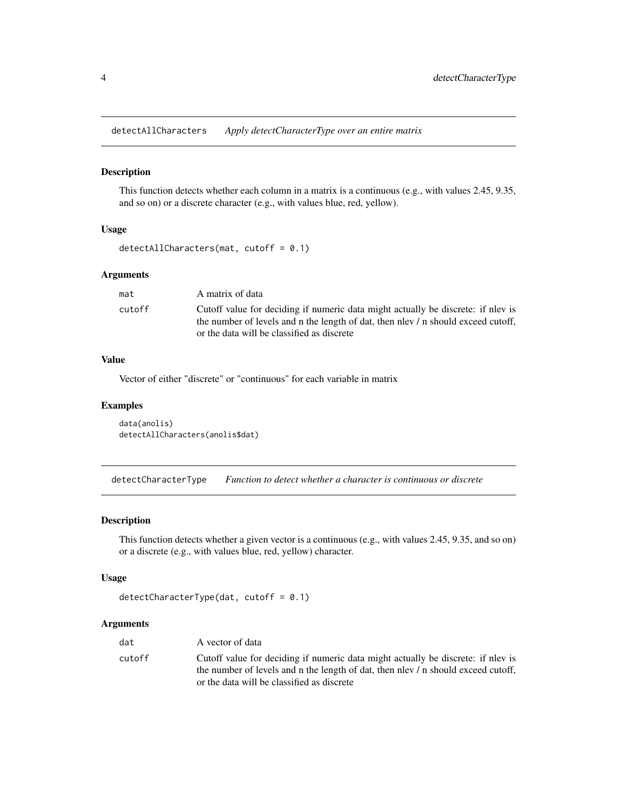<span id="page-3-0"></span>detectAllCharacters *Apply detectCharacterType over an entire matrix*

### Description

This function detects whether each column in a matrix is a continuous (e.g., with values 2.45, 9.35, and so on) or a discrete character (e.g., with values blue, red, yellow).

#### Usage

detectAllCharacters(mat, cutoff = 0.1)

#### Arguments

| mat    | A matrix of data                                                                                                                                                                                                    |
|--------|---------------------------------------------------------------------------------------------------------------------------------------------------------------------------------------------------------------------|
| cutoff | Cutoff value for deciding if numeric data might actually be discrete: if nlev is<br>the number of levels and n the length of dat, then nlev / n should exceed cutoff,<br>or the data will be classified as discrete |
|        |                                                                                                                                                                                                                     |

## Value

Vector of either "discrete" or "continuous" for each variable in matrix

#### Examples

```
data(anolis)
detectAllCharacters(anolis$dat)
```
detectCharacterType *Function to detect whether a character is continuous or discrete*

#### Description

This function detects whether a given vector is a continuous (e.g., with values 2.45, 9.35, and so on) or a discrete (e.g., with values blue, red, yellow) character.

#### Usage

```
detectCharacterType(dat, cutoff = 0.1)
```
## Arguments

| dat    | A vector of data                                                                                                                                                      |
|--------|-----------------------------------------------------------------------------------------------------------------------------------------------------------------------|
| cutoff | Cutoff value for deciding if numeric data might actually be discrete: if nlev is<br>the number of levels and n the length of dat, then nlev / n should exceed cutoff, |
|        | or the data will be classified as discrete                                                                                                                            |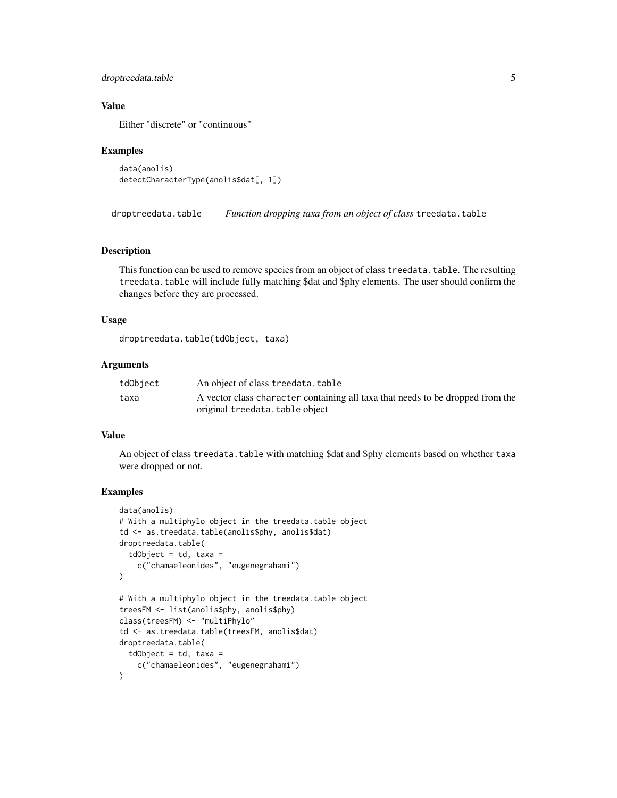#### <span id="page-4-0"></span>droptreedata.table 5

#### Value

Either "discrete" or "continuous"

#### Examples

```
data(anolis)
detectCharacterType(anolis$dat[, 1])
```
droptreedata.table *Function dropping taxa from an object of class* treedata.table

#### Description

This function can be used to remove species from an object of class treedata.table. The resulting treedata.table will include fully matching \$dat and \$phy elements. The user should confirm the changes before they are processed.

#### Usage

```
droptreedata.table(tdObject, taxa)
```
## Arguments

| tdObject | An object of class treedata.table                                              |
|----------|--------------------------------------------------------------------------------|
| taxa     | A vector class character containing all taxa that needs to be dropped from the |
|          | original treedata.table object                                                 |

#### Value

An object of class treedata.table with matching \$dat and \$phy elements based on whether taxa were dropped or not.

```
data(anolis)
# With a multiphylo object in the treedata.table object
td <- as.treedata.table(anolis$phy, anolis$dat)
droptreedata.table(
  tdObject = td, taxa =c("chamaeleonides", "eugenegrahami")
)
# With a multiphylo object in the treedata.table object
treesFM <- list(anolis$phy, anolis$phy)
class(treesFM) <- "multiPhylo"
td <- as.treedata.table(treesFM, anolis$dat)
droptreedata.table(
  tdObject = td, taxa =c("chamaeleonides", "eugenegrahami")
\mathcal{L}
```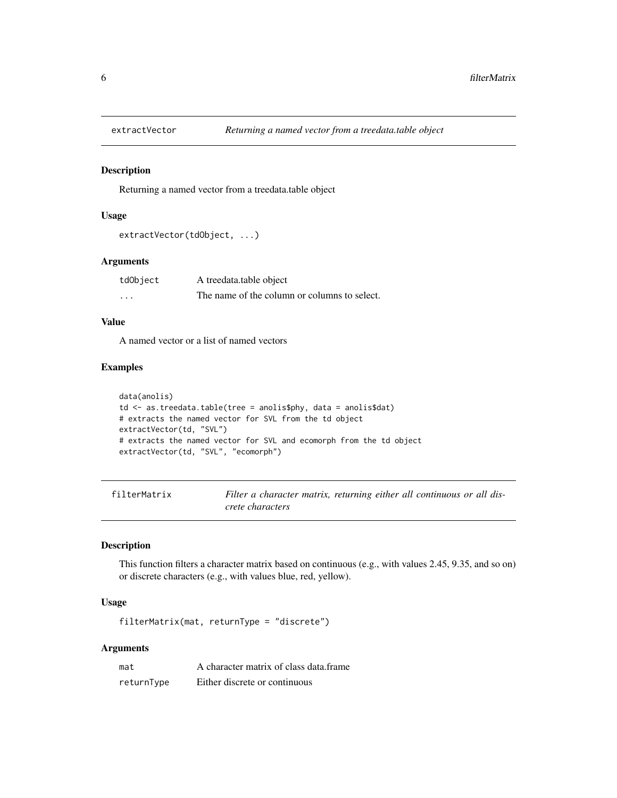<span id="page-5-0"></span>

#### Description

Returning a named vector from a treedata.table object

## Usage

```
extractVector(tdObject, ...)
```
#### Arguments

| tdObject | A treedata.table object                      |
|----------|----------------------------------------------|
| .        | The name of the column or columns to select. |

## Value

A named vector or a list of named vectors

## Examples

```
data(anolis)
td <- as.treedata.table(tree = anolis$phy, data = anolis$dat)
# extracts the named vector for SVL from the td object
extractVector(td, "SVL")
# extracts the named vector for SVL and ecomorph from the td object
extractVector(td, "SVL", "ecomorph")
```

| filterMatrix | Filter a character matrix, returning either all continuous or all dis- |
|--------------|------------------------------------------------------------------------|
|              | crete characters                                                       |

#### Description

This function filters a character matrix based on continuous (e.g., with values 2.45, 9.35, and so on) or discrete characters (e.g., with values blue, red, yellow).

## Usage

filterMatrix(mat, returnType = "discrete")

## Arguments

| mat        | A character matrix of class data.frame |
|------------|----------------------------------------|
| returnType | Either discrete or continuous          |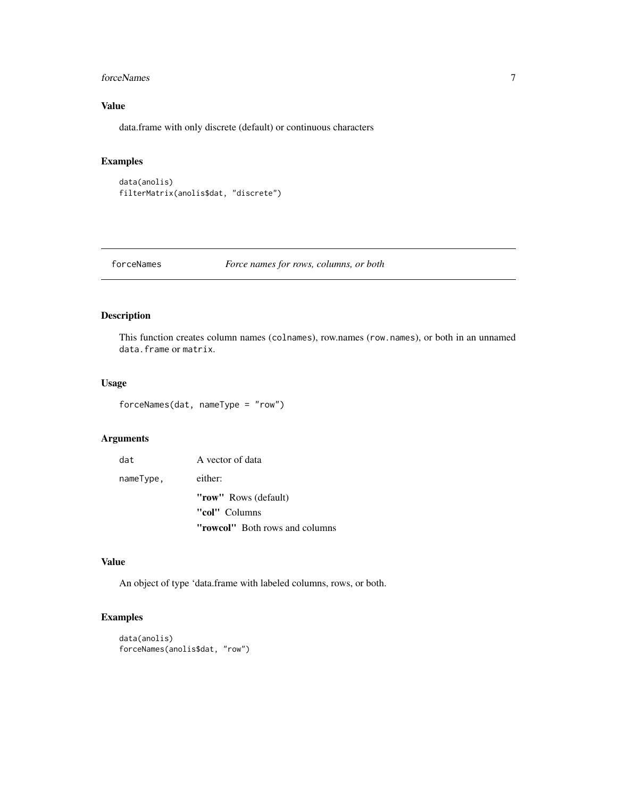#### <span id="page-6-0"></span>forceNames 7

## Value

data.frame with only discrete (default) or continuous characters

## Examples

```
data(anolis)
filterMatrix(anolis$dat, "discrete")
```
forceNames *Force names for rows, columns, or both*

## Description

This function creates column names (colnames), row.names (row.names), or both in an unnamed data.frame or matrix.

### Usage

forceNames(dat, nameType = "row")

#### Arguments

| dat       | A vector of data               |
|-----------|--------------------------------|
| nameType, | either:                        |
|           | "row" Rows (default)           |
|           | "col" Columns                  |
|           | "rowcol" Both rows and columns |

#### Value

An object of type 'data.frame with labeled columns, rows, or both.

```
data(anolis)
forceNames(anolis$dat, "row")
```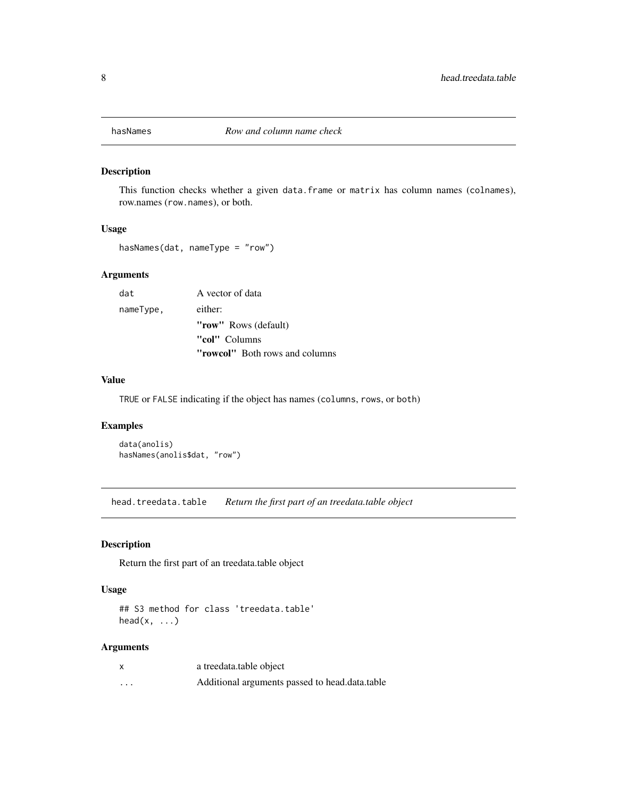<span id="page-7-0"></span>

## Description

This function checks whether a given data.frame or matrix has column names (colnames), row.names (row.names), or both.

#### Usage

hasNames(dat, nameType = "row")

#### Arguments

| dat       | A vector of data                      |
|-----------|---------------------------------------|
| nameType, | either:                               |
|           | "row" Rows (default)                  |
|           | "col" Columns                         |
|           | <b>"rowcol"</b> Both rows and columns |

#### Value

TRUE or FALSE indicating if the object has names (columns, rows, or both)

## Examples

```
data(anolis)
hasNames(anolis$dat, "row")
```
head.treedata.table *Return the first part of an treedata.table object*

## Description

Return the first part of an treedata.table object

#### Usage

## S3 method for class 'treedata.table'  $head(x, \ldots)$ 

## Arguments

| $\times$ | a treedata.table object                        |
|----------|------------------------------------------------|
| $\cdots$ | Additional arguments passed to head.data.table |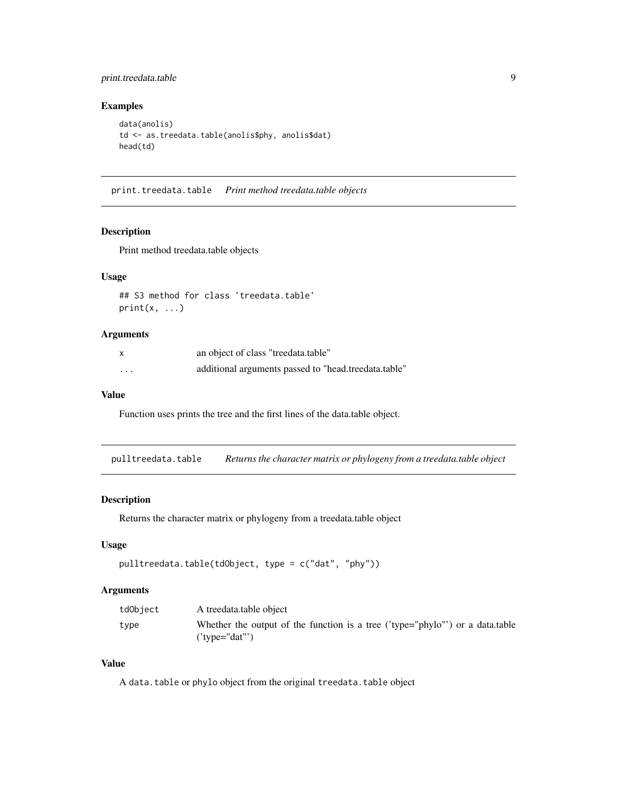## <span id="page-8-0"></span>print.treedata.table 9

## Examples

```
data(anolis)
td <- as.treedata.table(anolis$phy, anolis$dat)
head(td)
```
print.treedata.table *Print method treedata.table objects*

#### Description

Print method treedata.table objects

## Usage

## S3 method for class 'treedata.table'  $print(x, \ldots)$ 

#### Arguments

|         | an object of class "treedata.table"                  |
|---------|------------------------------------------------------|
| $\cdot$ | additional arguments passed to "head.treedata.table" |

## Value

Function uses prints the tree and the first lines of the data.table object.

pulltreedata.table *Returns the character matrix or phylogeny from a treedata.table object*

#### Description

Returns the character matrix or phylogeny from a treedata.table object

#### Usage

```
pulltreedata.table(tdObject, type = c("dat", "phy"))
```
#### Arguments

| tdObject | A treedata.table object                                                                           |
|----------|---------------------------------------------------------------------------------------------------|
| type     | Whether the output of the function is a tree ('type="phylo"') or a data.table<br>$('type='dat'')$ |

## Value

A data.table or phylo object from the original treedata.table object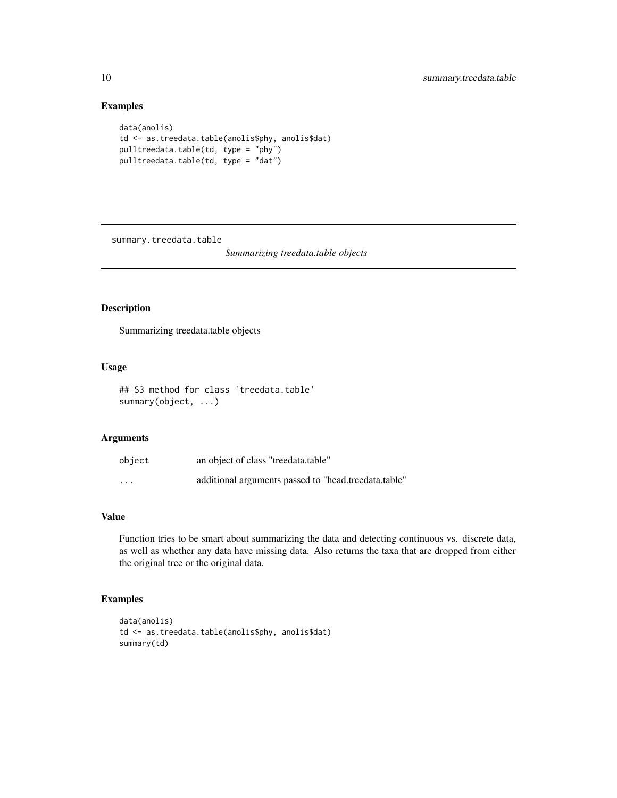## Examples

```
data(anolis)
td <- as.treedata.table(anolis$phy, anolis$dat)
pulltreedata.table(td, type = "phy")
pulltreedata.table(td, type = "dat")
```
summary.treedata.table

*Summarizing treedata.table objects*

## Description

Summarizing treedata.table objects

## Usage

## S3 method for class 'treedata.table' summary(object, ...)

## Arguments

| object   | an object of class "treedata.table"                  |
|----------|------------------------------------------------------|
| $\cdots$ | additional arguments passed to "head.treedata.table" |

## Value

Function tries to be smart about summarizing the data and detecting continuous vs. discrete data, as well as whether any data have missing data. Also returns the taxa that are dropped from either the original tree or the original data.

```
data(anolis)
td <- as.treedata.table(anolis$phy, anolis$dat)
summary(td)
```
<span id="page-9-0"></span>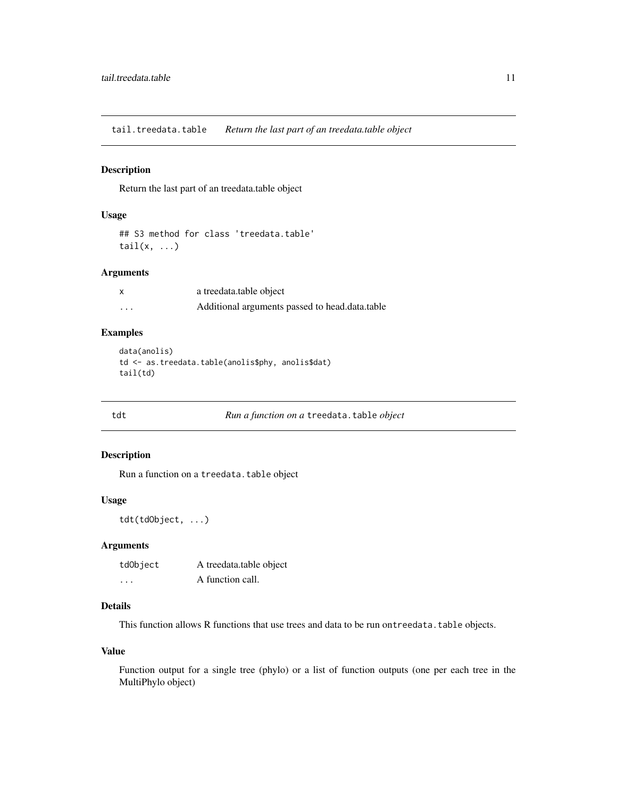<span id="page-10-0"></span>tail.treedata.table *Return the last part of an treedata.table object*

#### Description

Return the last part of an treedata.table object

#### Usage

```
## S3 method for class 'treedata.table'
tail(x, \ldots)
```
#### Arguments

| x | a treedata.table object                        |
|---|------------------------------------------------|
| . | Additional arguments passed to head.data.table |

### Examples

```
data(anolis)
td <- as.treedata.table(anolis$phy, anolis$dat)
tail(td)
```
tdt *Run a function on a* treedata.table *object*

## Description

Run a function on a treedata.table object

#### Usage

tdt(tdObject, ...)

### Arguments

| tdObject                | A treedata.table object |
|-------------------------|-------------------------|
| $\cdot$ $\cdot$ $\cdot$ | A function call.        |

## Details

This function allows R functions that use trees and data to be run ontreedata.table objects.

#### Value

Function output for a single tree (phylo) or a list of function outputs (one per each tree in the MultiPhylo object)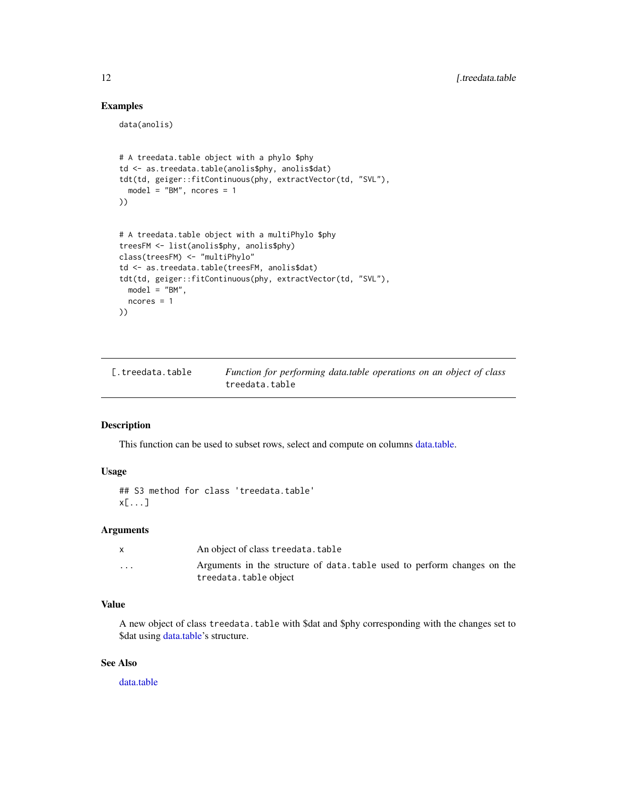## Examples

data(anolis)

```
# A treedata.table object with a phylo $phy
td <- as.treedata.table(anolis$phy, anolis$dat)
tdt(td, geiger::fitContinuous(phy, extractVector(td, "SVL"),
  model = "BM", ncores = 1
))
# A treedata.table object with a multiPhylo $phy
treesFM <- list(anolis$phy, anolis$phy)
class(treesFM) <- "multiPhylo"
td <- as.treedata.table(treesFM, anolis$dat)
tdt(td, geiger::fitContinuous(phy, extractVector(td, "SVL"),
 model = "BM".ncores = 1
))
```

| 「.treedata.table | Function for performing data.table operations on an object of class |
|------------------|---------------------------------------------------------------------|
|                  | treedata.table                                                      |

#### Description

This function can be used to subset rows, select and compute on columns [data.table.](#page-0-0)

## Usage

```
## S3 method for class 'treedata.table'
x[...]
```
#### Arguments

|                         | An object of class treedata.table                                                                 |
|-------------------------|---------------------------------------------------------------------------------------------------|
| $\cdot$ $\cdot$ $\cdot$ | Arguments in the structure of data, table used to perform changes on the<br>treedata.table object |

## Value

A new object of class treedata.table with \$dat and \$phy corresponding with the changes set to \$dat using [data.table'](#page-0-0)s structure.

## See Also

[data.table](#page-0-0)

<span id="page-11-0"></span>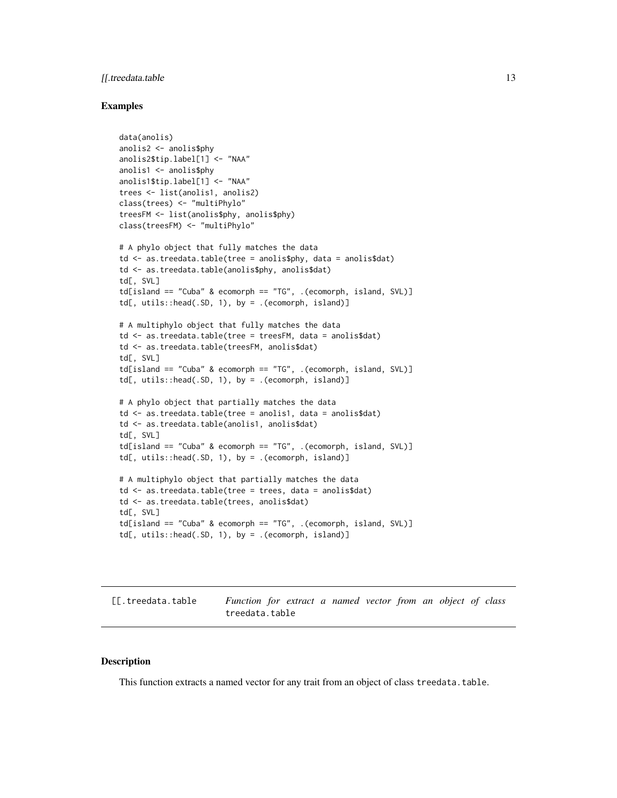## <span id="page-12-0"></span>[[.treedata.table 13

#### Examples

```
data(anolis)
anolis2 <- anolis$phy
anolis2$tip.label[1] <- "NAA"
anolis1 <- anolis$phy
anolis1$tip.label[1] <- "NAA"
trees <- list(anolis1, anolis2)
class(trees) <- "multiPhylo"
treesFM <- list(anolis$phy, anolis$phy)
class(treesFM) <- "multiPhylo"
# A phylo object that fully matches the data
td <- as.treedata.table(tree = anolis$phy, data = anolis$dat)
td <- as.treedata.table(anolis$phy, anolis$dat)
td[, SVL]
td[island == "Cuba" & ecomorph == "TG", .(ecomorph, island, SVL)]
td[, utils::head(.SD, 1), by = .(ecomorph, island)]
# A multiphylo object that fully matches the data
td <- as.treedata.table(tree = treesFM, data = anolis$dat)
td <- as.treedata.table(treesFM, anolis$dat)
td[, SVL]
td[island == "Cuba" & ecomorph == "TG", .(ecomorph, island, SVL)]
td[, utils::head(.SD, 1), by = .(ecomorph, island)]
# A phylo object that partially matches the data
td <- as.treedata.table(tree = anolis1, data = anolis$dat)
td <- as.treedata.table(anolis1, anolis$dat)
td[, SVL]
td[island == "Cuba" & ecomorph == "TG", .(ecomorph, island, SVL)]td[, utils::head(.SD, 1), by = .(ecomorph, island)]
# A multiphylo object that partially matches the data
td <- as.treedata.table(tree = trees, data = anolis$dat)
td <- as.treedata.table(trees, anolis$dat)
td[, SVL]
td[island == "Cuba" & ecomorph == "TG", .(ecomorph, island, SVL)]td[, utils::head(.SD, 1), by = .(ecomorph, island)]
```
[[.treedata.table *Function for extract a named vector from an object of class* treedata.table

#### Description

This function extracts a named vector for any trait from an object of class treedata.table.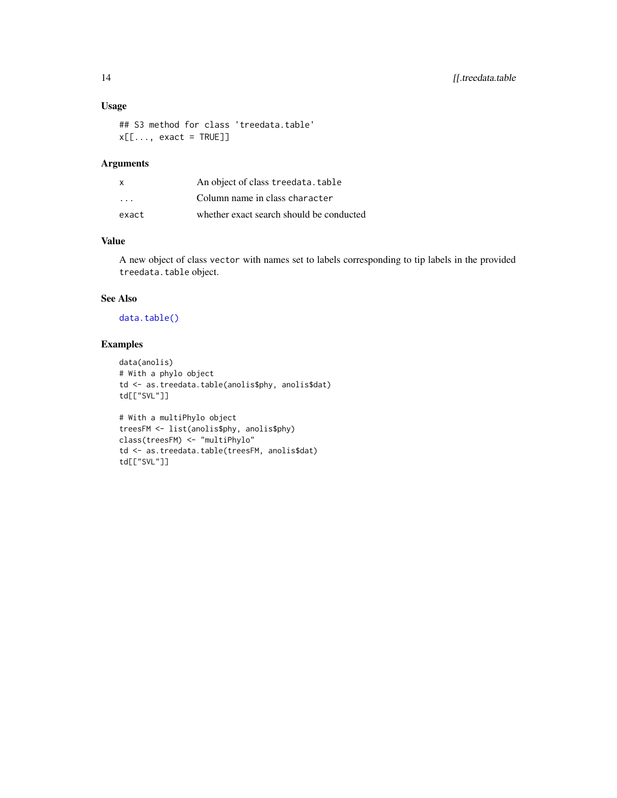## <span id="page-13-0"></span>Usage

```
## S3 method for class 'treedata.table'
x[\ldots, exact = TRUE]]
```
## Arguments

| X                       | An object of class treedata. table       |
|-------------------------|------------------------------------------|
| $\cdot$ $\cdot$ $\cdot$ | Column name in class character           |
| exact                   | whether exact search should be conducted |

## Value

A new object of class vector with names set to labels corresponding to tip labels in the provided treedata.table object.

## See Also

[data.table\(\)](#page-0-0)

td[["SVL"]]

#### Examples

```
data(anolis)
# With a phylo object
td <- as.treedata.table(anolis$phy, anolis$dat)
td[["SVL"]]
# With a multiPhylo object
treesFM <- list(anolis$phy, anolis$phy)
class(treesFM) <- "multiPhylo"
```
td <- as.treedata.table(treesFM, anolis\$dat)